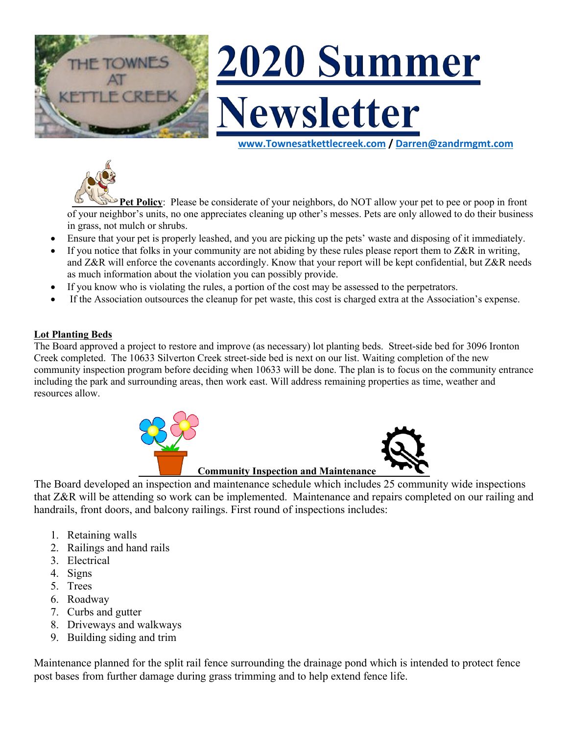

# 2020 Summer **Vewsletter**

**www.Townesatkettlecreek.com / Darren@zandrmgmt.com**



**Pet Policy**: Please be considerate of your neighbors, do NOT allow your pet to pee or poop in front of your neighbor's units, no one appreciates cleaning up other's messes. Pets are only allowed to do their business in grass, not mulch or shrubs.

- Ensure that your pet is properly leashed, and you are picking up the pets' waste and disposing of it immediately.
- If you notice that folks in your community are not abiding by these rules please report them to  $Z\&R$  in writing, and Z&R will enforce the covenants accordingly. Know that your report will be kept confidential, but Z&R needs as much information about the violation you can possibly provide.
- If you know who is violating the rules, a portion of the cost may be assessed to the perpetrators.
- If the Association outsources the cleanup for pet waste, this cost is charged extra at the Association's expense.

# **Lot Planting Beds**

The Board approved a project to restore and improve (as necessary) lot planting beds. Street-side bed for 3096 Ironton Creek completed. The 10633 Silverton Creek street-side bed is next on our list. Waiting completion of the new community inspection program before deciding when 10633 will be done. The plan is to focus on the community entrance including the park and surrounding areas, then work east. Will address remaining properties as time, weather and resources allow.



The Board developed an inspection and maintenance schedule which includes 25 community wide inspections that Z&R will be attending so work can be implemented. Maintenance and repairs completed on our railing and handrails, front doors, and balcony railings. First round of inspections includes:

- 1. Retaining walls
- 2. Railings and hand rails
- 3. Electrical
- 4. Signs
- 5. Trees
- 6. Roadway
- 7. Curbs and gutter
- 8. Driveways and walkways
- 9. Building siding and trim

Maintenance planned for the split rail fence surrounding the drainage pond which is intended to protect fence post bases from further damage during grass trimming and to help extend fence life.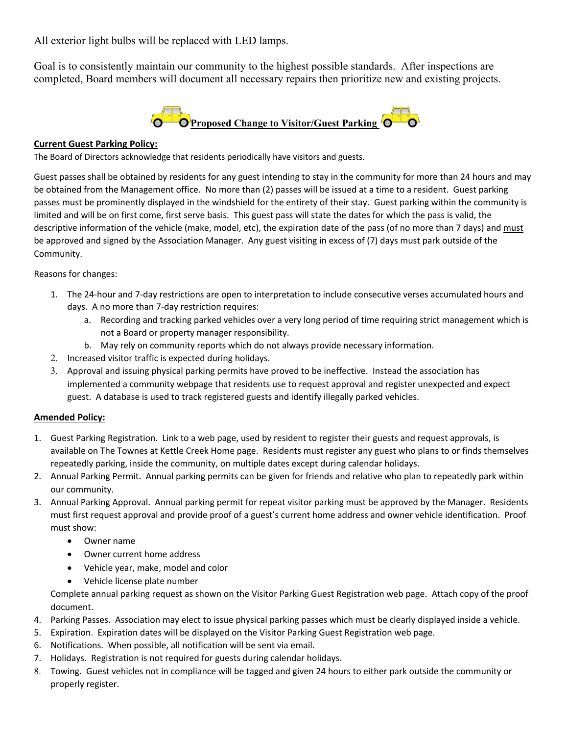All exterior light bulbs will be replaced with LED lamps.

Goal is to consistently maintain our community to the highest possible standards. After inspections are completed, Board members will document all necessary repairs then prioritize new and existing projects.



### **Current Guest Parking Policy:**

The Board of Directors acknowledge that residents periodically have visitors and guests.

Guest passes shall be obtained by residents for any guest intending to stay in the community for more than 24 hours and may be obtained from the Management office. No more than (2) passes will be issued at a time to a resident. Guest parking passes must be prominently displayed in the windshield for the entirety of their stay. Guest parking within the community is limited and will be on first come, first serve basis. This guest pass will state the dates for which the pass is valid, the descriptive information of the vehicle (make, model, etc), the expiration date of the pass (of no more than 7 days) and must be approved and signed by the Association Manager. Any guest visiting in excess of (7) days must park outside of the Community.

Reasons for changes:

- 1. The 24-hour and 7-day restrictions are open to interpretation to include consecutive verses accumulated hours and days. A no more than 7-day restriction requires:
	- a. Recording and tracking parked vehicles over a very long period of time requiring strict management which is not a Board or property manager responsibility.
	- b. May rely on community reports which do not always provide necessary information.
- 2. Increased visitor traffic is expected during holidays.
- 3. Approval and issuing physical parking permits have proved to be ineffective. Instead the association has implemented a community webpage that residents use to request approval and register unexpected and expect guest. A database is used to track registered guests and identify illegally parked vehicles.

### **Amended Policy:**

- 1. Guest Parking Registration. Link to a web page, used by resident to register their guests and request approvals, is available on The Townes at Kettle Creek Home page. Residents must register any guest who plans to or finds themselves repeatedly parking, inside the community, on multiple dates except during calendar holidays.
- 2. Annual Parking Permit. Annual parking permits can be given for friends and relative who plan to repeatedly park within our community.
- 3. Annual Parking Approval. Annual parking permit for repeat visitor parking must be approved by the Manager. Residents must first request approval and provide proof of a guest's current home address and owner vehicle identification. Proof must show:
	- Owner name
	- Owner current home address
	- Vehicle year, make, model and color
	- Vehicle license plate number

Complete annual parking request as shown on the Visitor Parking Guest Registration web page. Attach copy of the proof document.

- 4. Parking Passes. Association may elect to issue physical parking passes which must be clearly displayed inside a vehicle.
- 5. Expiration. Expiration dates will be displayed on the Visitor Parking Guest Registration web page.
- 6. Notifications. When possible, all notification will be sent via email.
- 7. Holidays. Registration is not required for guests during calendar holidays.
- 8. Towing. Guest vehicles not in compliance will be tagged and given 24 hours to either park outside the community or properly register.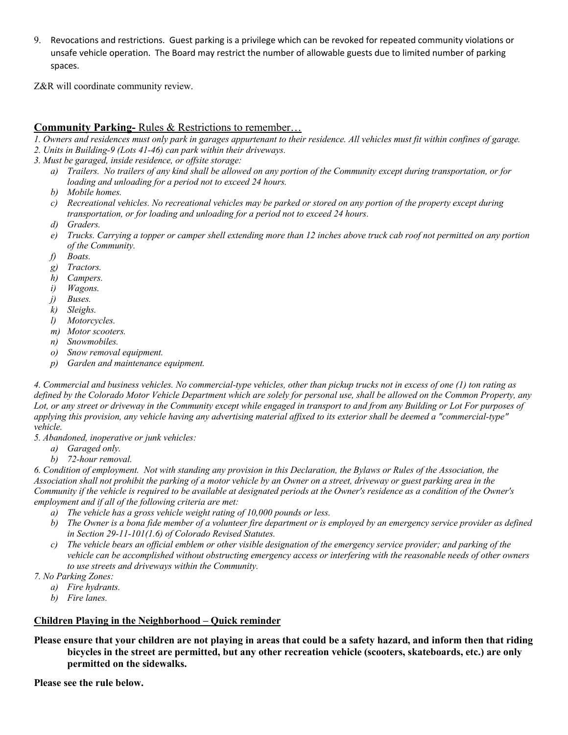9. Revocations and restrictions. Guest parking is a privilege which can be revoked for repeated community violations or unsafe vehicle operation. The Board may restrict the number of allowable guests due to limited number of parking spaces.

Z&R will coordinate community review.

## **Community Parking-** Rules & Restrictions to remember…

- *1. Owners and residences must only park in garages appurtenant to their residence. All vehicles must fit within confines of garage.*
- *2. Units in Building-9 (Lots 41-46) can park within their driveways.*
- *3. Must be garaged, inside residence, or offsite storage:*
	- *a) Trailers. No trailers of any kind shall be allowed on any portion of the Community except during transportation, or for loading and unloading for a period not to exceed 24 hours.*
	- *b) Mobile homes.*
	- *c) Recreational vehicles. No recreational vehicles may be parked or stored on any portion of the property except during transportation, or for loading and unloading for a period not to exceed 24 hours.*
	- *d) Graders.*
	- *e) Trucks. Carrying a topper or camper shell extending more than 12 inches above truck cab roof not permitted on any portion of the Community.*
	- *f) Boats.*
	- *g) Tractors.*
	- *h) Campers.*
	- *i) Wagons.*
	- *j) Buses.*
	- *k) Sleighs.*
	- *l) Motorcycles.*
	- *m) Motor scooters.*
	- *n) Snowmobiles.*
	- *o) Snow removal equipment.*
	- *p) Garden and maintenance equipment.*

*4. Commercial and business vehicles. No commercial-type vehicles, other than pickup trucks not in excess of one (1) ton rating as defined by the Colorado Motor Vehicle Department which are solely for personal use, shall be allowed on the Common Property, any Lot, or any street or driveway in the Community except while engaged in transport to and from any Building or Lot For purposes of applying this provision, any vehicle having any advertising material affixed to its exterior shall be deemed a "commercial-type" vehicle.*

*5. Abandoned, inoperative or junk vehicles:*

- *a) Garaged only.*
- *b) 72-hour removal.*

*6. Condition of employment. Not with standing any provision in this Declaration, the Bylaws or Rules of the Association, the Association shall not prohibit the parking of a motor vehicle by an Owner on a street, driveway or guest parking area in the Community if the vehicle is required to be available at designated periods at the Owner's residence as a condition of the Owner's employment and if all of the following criteria are met:*

- *a) The vehicle has a gross vehicle weight rating of 10,000 pounds or less.*
- *b) The Owner is a bona fide member of a volunteer fire department or is employed by an emergency service provider as defined in Section 29-11-101(1.6) of Colorado Revised Statutes.*
- *c) The vehicle bears an official emblem or other visible designation of the emergency service provider; and parking of the vehicle can be accomplished without obstructing emergency access or interfering with the reasonable needs of other owners to use streets and driveways within the Community.*
- *7. No Parking Zones:*
	- *a) Fire hydrants.*
	- *b) Fire lanes.*

### **Children Playing in the Neighborhood – Quick reminder**

**Please ensure that your children are not playing in areas that could be a safety hazard, and inform then that riding bicycles in the street are permitted, but any other recreation vehicle (scooters, skateboards, etc.) are only permitted on the sidewalks.**

**Please see the rule below.**